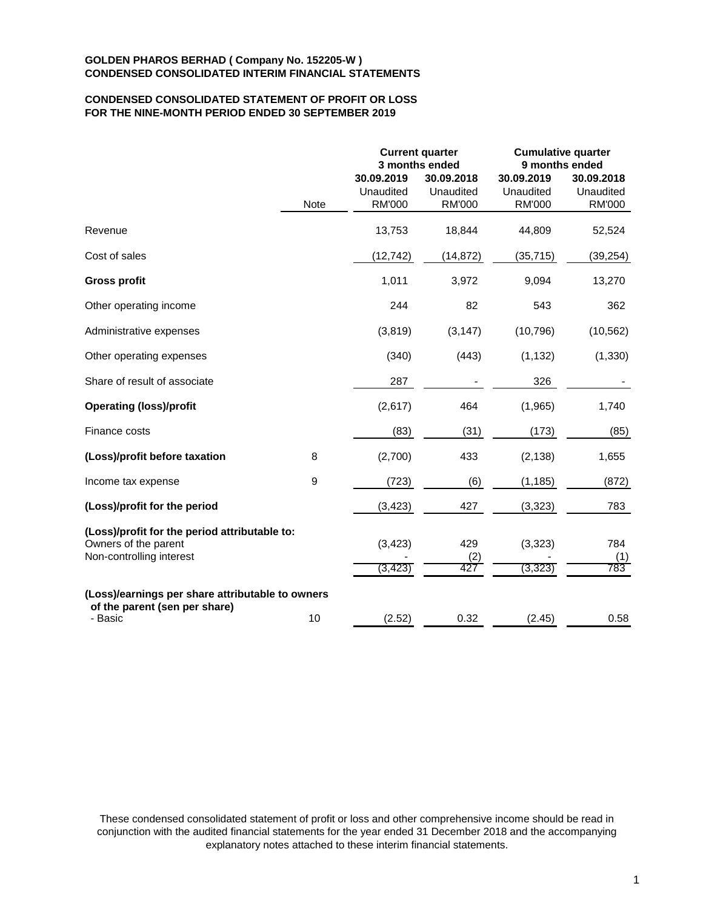# **CONDENSED CONSOLIDATED STATEMENT OF PROFIT OR LOSS FOR THE NINE-MONTH PERIOD ENDED 30 SEPTEMBER 2019**

|                                                                                                   |             |                                          | <b>Current quarter</b><br>3 months ended | <b>Cumulative quarter</b><br>9 months ended |                                          |  |
|---------------------------------------------------------------------------------------------------|-------------|------------------------------------------|------------------------------------------|---------------------------------------------|------------------------------------------|--|
|                                                                                                   | <b>Note</b> | 30.09.2019<br>Unaudited<br><b>RM'000</b> | 30.09.2018<br>Unaudited<br><b>RM'000</b> | 30.09.2019<br>Unaudited<br><b>RM'000</b>    | 30.09.2018<br>Unaudited<br><b>RM'000</b> |  |
| Revenue                                                                                           |             | 13,753                                   | 18,844                                   | 44,809                                      | 52,524                                   |  |
| Cost of sales                                                                                     |             | (12, 742)                                | (14, 872)                                | (35, 715)                                   | (39, 254)                                |  |
| <b>Gross profit</b>                                                                               |             | 1,011                                    | 3,972                                    | 9,094                                       | 13,270                                   |  |
| Other operating income                                                                            |             | 244                                      | 82                                       | 543                                         | 362                                      |  |
| Administrative expenses                                                                           |             | (3,819)                                  | (3, 147)                                 | (10, 796)                                   | (10, 562)                                |  |
| Other operating expenses                                                                          |             | (340)                                    | (443)                                    | (1, 132)                                    | (1, 330)                                 |  |
| Share of result of associate                                                                      |             | 287                                      |                                          | 326                                         |                                          |  |
| <b>Operating (loss)/profit</b>                                                                    |             | (2,617)                                  | 464                                      | (1,965)                                     | 1,740                                    |  |
| Finance costs                                                                                     |             | (83)                                     | (31)                                     | (173)                                       | (85)                                     |  |
| (Loss)/profit before taxation                                                                     | 8           | (2,700)                                  | 433                                      | (2, 138)                                    | 1,655                                    |  |
| Income tax expense                                                                                | 9           | (723)                                    | (6)                                      | (1, 185)                                    | (872)                                    |  |
| (Loss)/profit for the period                                                                      |             | (3, 423)                                 | 427                                      | (3,323)                                     | 783                                      |  |
| (Loss)/profit for the period attributable to:<br>Owners of the parent<br>Non-controlling interest |             | (3, 423)<br>(3, 423)                     | 429<br>(2)<br>427                        | (3, 323)<br>(3, 323)                        | 784<br>(1)<br>$\overline{783}$           |  |
| (Loss)/earnings per share attributable to owners<br>of the parent (sen per share)<br>- Basic      | 10          | (2.52)                                   | 0.32                                     | (2.45)                                      | 0.58                                     |  |

These condensed consolidated statement of profit or loss and other comprehensive income should be read in conjunction with the audited financial statements for the year ended 31 December 2018 and the accompanying explanatory notes attached to these interim financial statements.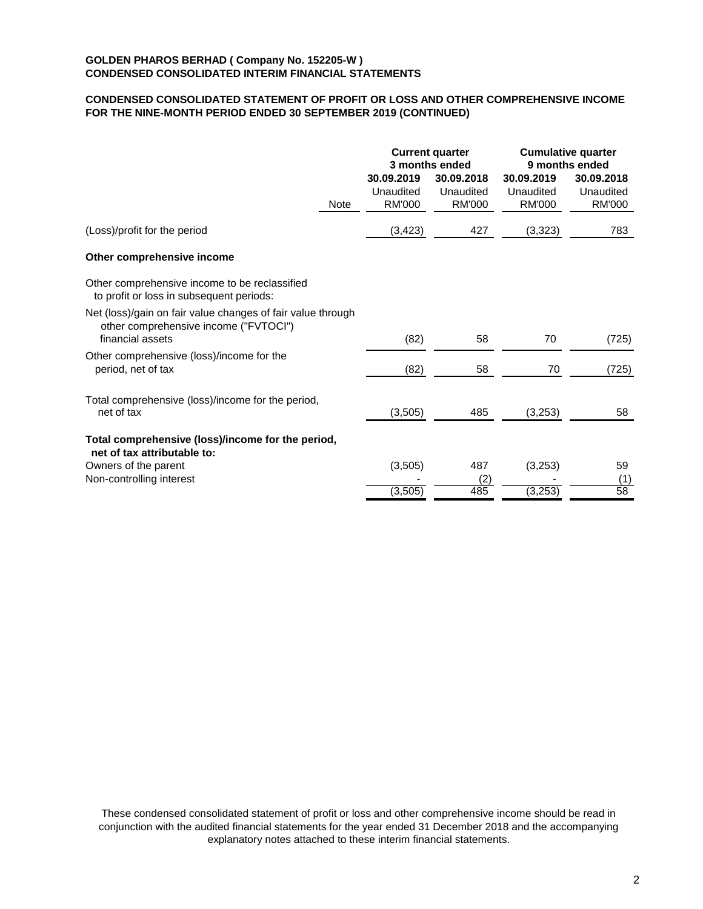# **CONDENSED CONSOLIDATED STATEMENT OF PROFIT OR LOSS AND OTHER COMPREHENSIVE INCOME FOR THE NINE-MONTH PERIOD ENDED 30 SEPTEMBER 2019 (CONTINUED)**

|                                                                                                                          |      | 30.09.2019                 | <b>Current quarter</b><br>3 months ended<br>30.09.2018 | 30.09.2019                 | <b>Cumulative quarter</b><br>9 months ended<br>30.09.2018 |
|--------------------------------------------------------------------------------------------------------------------------|------|----------------------------|--------------------------------------------------------|----------------------------|-----------------------------------------------------------|
|                                                                                                                          | Note | Unaudited<br><b>RM'000</b> | Unaudited<br><b>RM'000</b>                             | Unaudited<br><b>RM'000</b> | Unaudited<br>RM'000                                       |
| (Loss)/profit for the period                                                                                             |      | (3, 423)                   | 427                                                    | (3,323)                    | 783                                                       |
| Other comprehensive income                                                                                               |      |                            |                                                        |                            |                                                           |
| Other comprehensive income to be reclassified<br>to profit or loss in subsequent periods:                                |      |                            |                                                        |                            |                                                           |
| Net (loss)/gain on fair value changes of fair value through<br>other comprehensive income ("FVTOCI")<br>financial assets |      | (82)                       | 58                                                     | 70                         | (725)                                                     |
| Other comprehensive (loss)/income for the<br>period, net of tax                                                          |      | (82)                       | 58                                                     | 70                         | (725)                                                     |
| Total comprehensive (loss)/income for the period,<br>net of tax                                                          |      | (3,505)                    | 485                                                    | (3,253)                    | 58                                                        |
| Total comprehensive (loss)/income for the period,<br>net of tax attributable to:                                         |      |                            |                                                        |                            |                                                           |
| Owners of the parent<br>Non-controlling interest                                                                         |      | (3,505)<br>(3,505)         | 487<br>(2)<br>485                                      | (3,253)<br>(3,253)         | 59<br>(1)<br>58                                           |

These condensed consolidated statement of profit or loss and other comprehensive income should be read in conjunction with the audited financial statements for the year ended 31 December 2018 and the accompanying explanatory notes attached to these interim financial statements.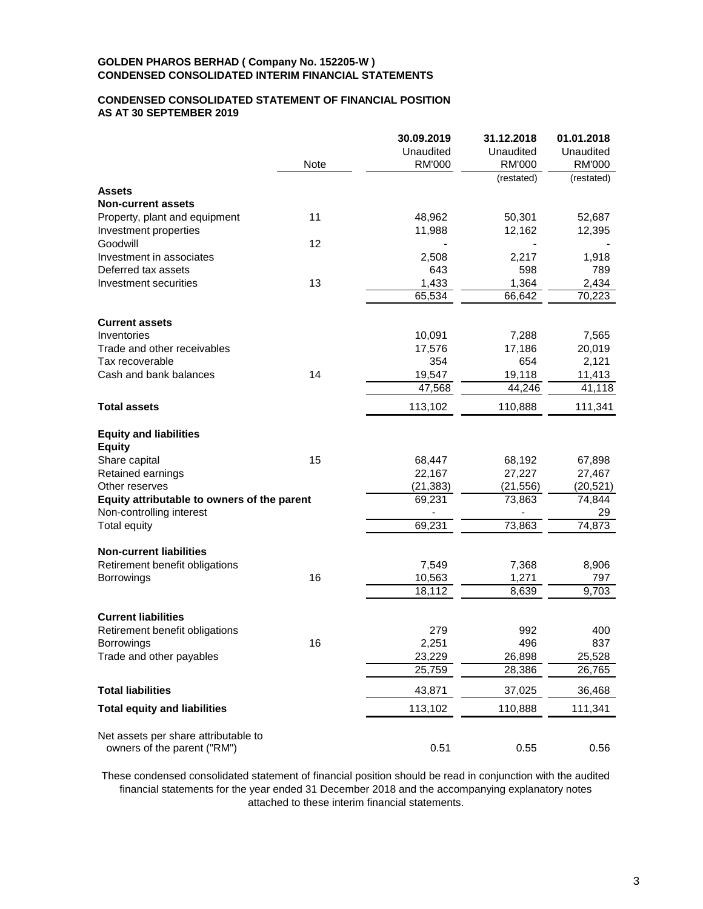### **CONDENSED CONSOLIDATED STATEMENT OF FINANCIAL POSITION AS AT 30 SEPTEMBER 2019**

|                                             |      | 30.09.2019    | 31.12.2018    | 01.01.2018    |
|---------------------------------------------|------|---------------|---------------|---------------|
|                                             |      | Unaudited     | Unaudited     | Unaudited     |
|                                             | Note | <b>RM'000</b> | <b>RM'000</b> | <b>RM'000</b> |
|                                             |      |               | (restated)    | (restated)    |
| <b>Assets</b>                               |      |               |               |               |
| <b>Non-current assets</b>                   |      |               |               |               |
| Property, plant and equipment               | 11   | 48,962        | 50,301        | 52,687        |
| Investment properties                       |      | 11,988        | 12,162        | 12,395        |
| Goodwill                                    | 12   |               |               |               |
| Investment in associates                    |      | 2,508         | 2,217         | 1,918         |
| Deferred tax assets                         |      | 643           | 598           | 789           |
| Investment securities                       | 13   | 1,433         | 1,364         | 2,434         |
|                                             |      | 65,534        | 66,642        | 70,223        |
| <b>Current assets</b>                       |      |               |               |               |
| Inventories                                 |      | 10,091        | 7,288         | 7,565         |
| Trade and other receivables                 |      | 17,576        | 17,186        | 20,019        |
| Tax recoverable                             |      | 354           | 654           | 2,121         |
| Cash and bank balances                      | 14   | 19,547        | 19,118        | 11,413        |
|                                             |      | 47,568        | 44,246        | 41,118        |
|                                             |      |               |               |               |
| <b>Total assets</b>                         |      | 113,102       | 110,888       | 111,341       |
| <b>Equity and liabilities</b>               |      |               |               |               |
| <b>Equity</b>                               |      |               |               |               |
| Share capital                               | 15   | 68,447        | 68,192        | 67,898        |
| Retained earnings                           |      | 22,167        | 27,227        | 27,467        |
| Other reserves                              |      | (21, 383)     | (21, 556)     | (20, 521)     |
| Equity attributable to owners of the parent |      | 69,231        | 73,863        | 74,844        |
| Non-controlling interest                    |      |               |               | 29            |
| <b>Total equity</b>                         |      | 69,231        | 73,863        | 74,873        |
| <b>Non-current liabilities</b>              |      |               |               |               |
| Retirement benefit obligations              |      | 7,549         | 7,368         | 8,906         |
| Borrowings                                  | 16   | 10,563        | 1,271         | 797           |
|                                             |      | 18,112        | 8,639         | 9,703         |
|                                             |      |               |               |               |
| <b>Current liabilities</b>                  |      |               |               |               |
| Retirement benefit obligations              |      | 279           | 992           | 400           |
| <b>Borrowings</b>                           | 16   | 2,251         | 496           | 837           |
| Trade and other payables                    |      | 23,229        | 26,898        | 25,528        |
|                                             |      | 25,759        | 28,386        | 26,765        |
| <b>Total liabilities</b>                    |      | 43,871        | 37,025        | 36,468        |
| <b>Total equity and liabilities</b>         |      | 113,102       | 110,888       | 111,341       |
|                                             |      |               |               |               |
| Net assets per share attributable to        |      |               |               |               |
| owners of the parent ("RM")                 |      | 0.51          | 0.55          | 0.56          |

These condensed consolidated statement of financial position should be read in conjunction with the audited financial statements for the year ended 31 December 2018 and the accompanying explanatory notes attached to these interim financial statements.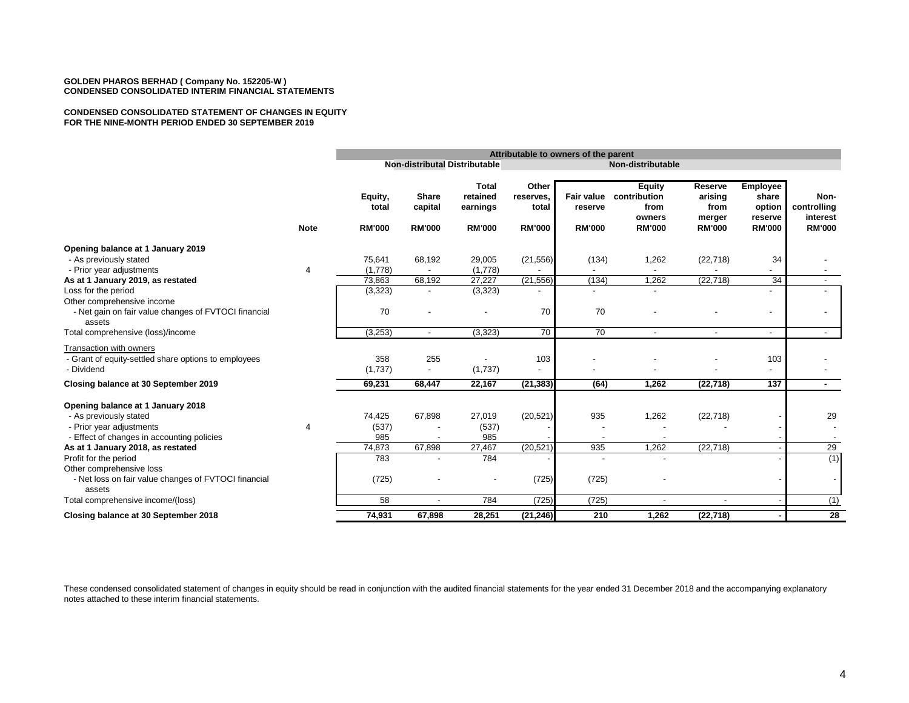#### **CONDENSED CONSOLIDATED STATEMENT OF CHANGES IN EQUITY FOR THE NINE-MONTH PERIOD ENDED 30 SEPTEMBER 2019**

|                                                                                                                                                                                                     |             | Attributable to owners of the parent    |                                          |                                                       |                                              |                                        |                                                                  |                                                       |                                                                |                                                  |
|-----------------------------------------------------------------------------------------------------------------------------------------------------------------------------------------------------|-------------|-----------------------------------------|------------------------------------------|-------------------------------------------------------|----------------------------------------------|----------------------------------------|------------------------------------------------------------------|-------------------------------------------------------|----------------------------------------------------------------|--------------------------------------------------|
|                                                                                                                                                                                                     |             |                                         |                                          | <b>Non-distributal Distributable</b>                  |                                              |                                        | Non-distributable                                                |                                                       |                                                                |                                                  |
|                                                                                                                                                                                                     | <b>Note</b> | Equity,<br>total<br><b>RM'000</b>       | <b>Share</b><br>capital<br><b>RM'000</b> | <b>Total</b><br>retained<br>earnings<br><b>RM'000</b> | Other<br>reserves,<br>total<br><b>RM'000</b> | Fair value<br>reserve<br><b>RM'000</b> | <b>Equity</b><br>contribution<br>from<br>owners<br><b>RM'000</b> | Reserve<br>arising<br>from<br>merger<br><b>RM'000</b> | <b>Employee</b><br>share<br>option<br>reserve<br><b>RM'000</b> | Non-<br>controlling<br>interest<br><b>RM'000</b> |
| Opening balance at 1 January 2019<br>- As previously stated                                                                                                                                         |             | 75,641                                  | 68,192                                   | 29,005                                                | (21, 556)                                    | (134)                                  | 1,262                                                            | (22, 718)                                             | 34                                                             |                                                  |
| - Prior year adjustments<br>As at 1 January 2019, as restated                                                                                                                                       | 4           | (1,778)<br>73,863                       | 68,192                                   | (1,778)<br>27,227                                     | (21, 556)                                    | (134)                                  | 1,262                                                            | (22, 718)                                             | 34                                                             |                                                  |
| Loss for the period<br>Other comprehensive income                                                                                                                                                   |             | (3,323)                                 |                                          | (3,323)                                               |                                              |                                        |                                                                  |                                                       |                                                                |                                                  |
| - Net gain on fair value changes of FVTOCI financial<br>assets                                                                                                                                      |             | 70                                      |                                          |                                                       | 70                                           | 70                                     |                                                                  |                                                       | $\overline{\phantom{a}}$                                       |                                                  |
| Total comprehensive (loss)/income                                                                                                                                                                   |             | (3,253)                                 | $\overline{\phantom{a}}$                 | (3, 323)                                              | 70                                           | 70                                     | $\overline{\phantom{a}}$                                         | $\overline{\phantom{a}}$                              |                                                                | $\sim$                                           |
| Transaction with owners<br>- Grant of equity-settled share options to employees<br>- Dividend                                                                                                       |             | 358<br>(1,737)                          | 255<br>$\overline{\phantom{a}}$          | (1,737)                                               | 103                                          |                                        |                                                                  |                                                       | 103                                                            |                                                  |
| Closing balance at 30 September 2019                                                                                                                                                                |             | 69,231                                  | 68,447                                   | 22,167                                                | (21, 383)                                    | (64)                                   | 1,262                                                            | (22, 718)                                             | 137                                                            | $\sim$                                           |
| Opening balance at 1 January 2018<br>- As previously stated<br>- Prior year adjustments<br>- Effect of changes in accounting policies<br>As at 1 January 2018, as restated<br>Profit for the period | 4           | 74,425<br>(537)<br>985<br>74,873<br>783 | 67,898<br>67,898                         | 27,019<br>(537)<br>985<br>27,467<br>784               | (20, 521)<br>(20, 521)                       | 935<br>935                             | 1,262<br>1,262                                                   | (22, 718)<br>(22, 718)                                |                                                                | 29<br>29<br>(1)                                  |
| Other comprehensive loss<br>- Net loss on fair value changes of FVTOCI financial<br>assets                                                                                                          |             | (725)                                   |                                          |                                                       | (725)                                        | (725)                                  |                                                                  |                                                       |                                                                |                                                  |
| Total comprehensive income/(loss)                                                                                                                                                                   |             | 58                                      |                                          | 784                                                   | (725)                                        | (725)                                  | $\blacksquare$                                                   |                                                       |                                                                | (1)                                              |
| Closing balance at 30 September 2018                                                                                                                                                                |             | 74,931                                  | 67,898                                   | 28,251                                                | (21, 246)                                    | 210                                    | 1,262                                                            | (22, 718)                                             |                                                                | 28                                               |

These condensed consolidated statement of changes in equity should be read in conjunction with the audited financial statements for the year ended 31 December 2018 and the accompanying explanatory notes attached to these interim financial statements.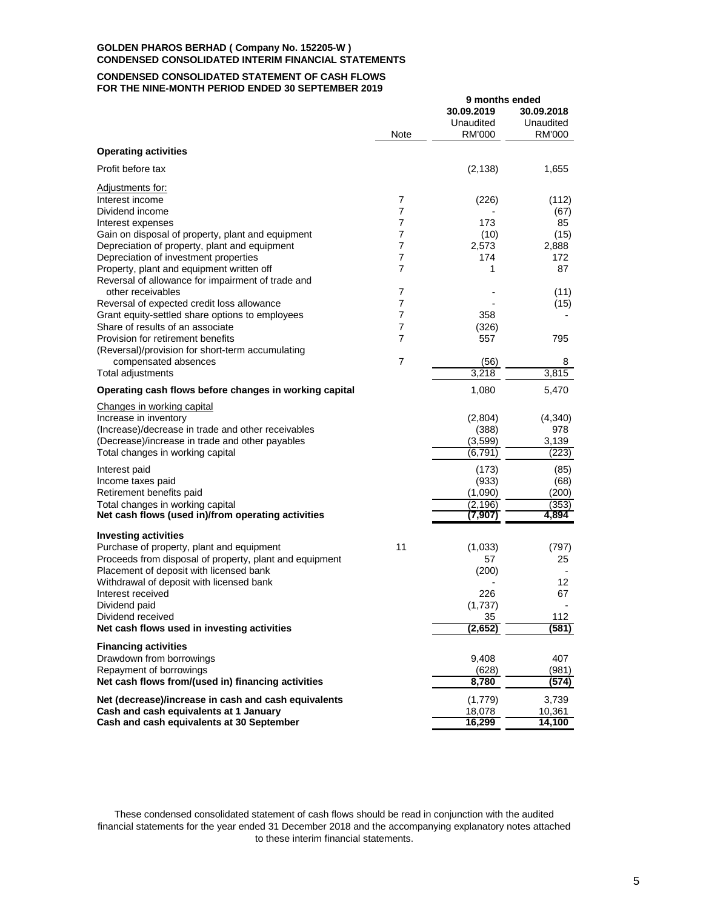#### **CONDENSED CONSOLIDATED STATEMENT OF CASH FLOWS FOR THE NINE-MONTH PERIOD ENDED 30 SEPTEMBER 2019**

|                                                                               |        | 9 months ended                    |                                   |
|-------------------------------------------------------------------------------|--------|-----------------------------------|-----------------------------------|
|                                                                               | Note   | 30.09.2019<br>Unaudited<br>RM'000 | 30.09.2018<br>Unaudited<br>RM'000 |
| <b>Operating activities</b>                                                   |        |                                   |                                   |
| Profit before tax                                                             |        |                                   |                                   |
|                                                                               |        | (2, 138)                          | 1,655                             |
| Adjustments for:                                                              |        |                                   |                                   |
| Interest income<br>Dividend income                                            | 7      | (226)                             | (112)                             |
|                                                                               | 7<br>7 | 173                               | (67)<br>85                        |
| Interest expenses<br>Gain on disposal of property, plant and equipment        | 7      | (10)                              | (15)                              |
| Depreciation of property, plant and equipment                                 | 7      | 2,573                             | 2,888                             |
| Depreciation of investment properties                                         | 7      | 174                               | 172                               |
| Property, plant and equipment written off                                     | 7      | 1                                 | 87                                |
| Reversal of allowance for impairment of trade and                             |        |                                   |                                   |
| other receivables                                                             | 7      |                                   | (11)                              |
| Reversal of expected credit loss allowance                                    | 7      |                                   | (15)                              |
| Grant equity-settled share options to employees                               | 7      | 358                               |                                   |
| Share of results of an associate                                              | 7      | (326)                             |                                   |
| Provision for retirement benefits                                             | 7      | 557                               | 795                               |
| (Reversal)/provision for short-term accumulating                              |        |                                   |                                   |
| compensated absences                                                          | 7      | (56)                              | 8                                 |
| Total adjustments                                                             |        | 3,218                             | 3.815                             |
| Operating cash flows before changes in working capital                        |        | 1,080                             | 5,470                             |
| Changes in working capital                                                    |        |                                   |                                   |
| Increase in inventory                                                         |        | (2,804)                           | (4,340)                           |
| (Increase)/decrease in trade and other receivables                            |        | (388)                             | 978                               |
| (Decrease)/increase in trade and other payables                               |        | (3,599)                           | 3,139                             |
| Total changes in working capital                                              |        | (6, 791)                          | (223)                             |
| Interest paid                                                                 |        | (173)                             | (85)                              |
| Income taxes paid                                                             |        | (933)                             | (68)                              |
| Retirement benefits paid                                                      |        | (1,090)                           | (200)                             |
| Total changes in working capital                                              |        | (2, 196)                          | (353)                             |
| Net cash flows (used in)/from operating activities                            |        | (7,907)                           | 4,894                             |
|                                                                               |        |                                   |                                   |
| <b>Investing activities</b>                                                   |        |                                   |                                   |
| Purchase of property, plant and equipment                                     | 11     | (1,033)                           | (797)                             |
| Proceeds from disposal of property, plant and equipment                       |        | 57                                | 25                                |
| Placement of deposit with licensed bank                                       |        | (200)                             |                                   |
| Withdrawal of deposit with licensed bank<br>Interest received                 |        | 226                               | 12<br>67                          |
| Dividend paid                                                                 |        | (1,737)                           |                                   |
| Dividend received                                                             |        | 35                                | 112                               |
| Net cash flows used in investing activities                                   |        | (2, 652)                          | (581)                             |
|                                                                               |        |                                   |                                   |
| <b>Financing activities</b>                                                   |        |                                   |                                   |
| Drawdown from borrowings                                                      |        | 9,408<br>(628)                    | 407                               |
| Repayment of borrowings<br>Net cash flows from/(used in) financing activities |        | 8,780                             | (981)                             |
|                                                                               |        |                                   | (574)                             |
| Net (decrease)/increase in cash and cash equivalents                          |        | (1,779)                           | 3,739                             |
| Cash and cash equivalents at 1 January                                        |        | 18,078                            | 10,361                            |
| Cash and cash equivalents at 30 September                                     |        | 16,299                            | 14,100                            |

These condensed consolidated statement of cash flows should be read in conjunction with the audited financial statements for the year ended 31 December 2018 and the accompanying explanatory notes attached to these interim financial statements.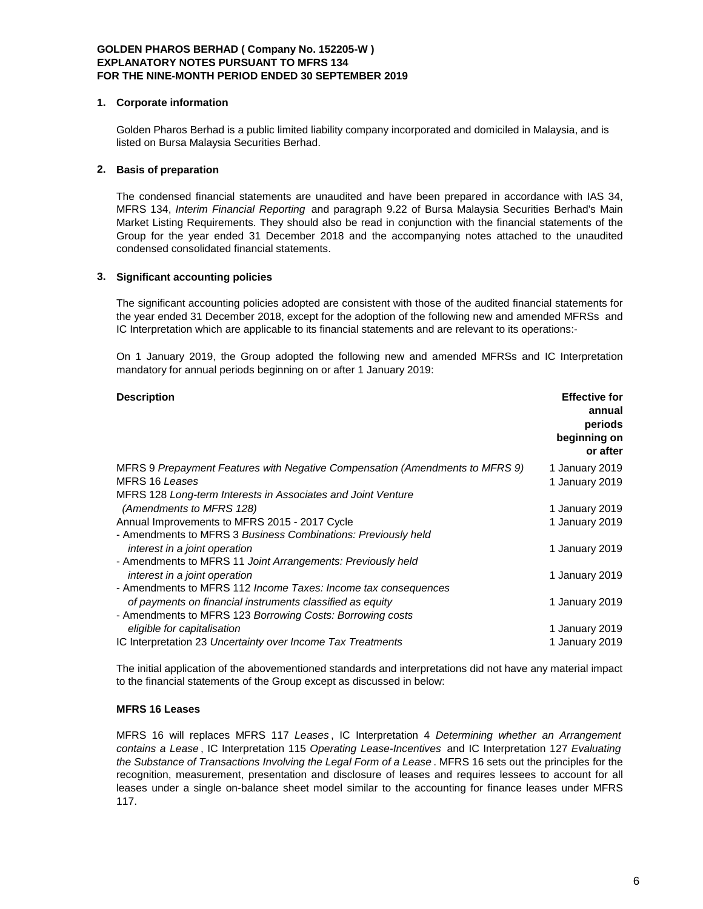# **1. Corporate information**

Golden Pharos Berhad is a public limited liability company incorporated and domiciled in Malaysia, and is listed on Bursa Malaysia Securities Berhad.

# **2. Basis of preparation**

The condensed financial statements are unaudited and have been prepared in accordance with IAS 34, MFRS 134, *Interim Financial Reporting* and paragraph 9.22 of Bursa Malaysia Securities Berhad's Main Market Listing Requirements. They should also be read in conjunction with the financial statements of the Group for the year ended 31 December 2018 and the accompanying notes attached to the unaudited condensed consolidated financial statements.

# **3. Significant accounting policies**

The significant accounting policies adopted are consistent with those of the audited financial statements for the year ended 31 December 2018, except for the adoption of the following new and amended MFRSs and IC Interpretation which are applicable to its financial statements and are relevant to its operations:-

On 1 January 2019, the Group adopted the following new and amended MFRSs and IC Interpretation mandatory for annual periods beginning on or after 1 January 2019:

| <b>Description</b>                                                           | <b>Effective for</b><br>annual<br>periods<br>beginning on<br>or after |
|------------------------------------------------------------------------------|-----------------------------------------------------------------------|
| MFRS 9 Prepayment Features with Negative Compensation (Amendments to MFRS 9) | 1 January 2019                                                        |
| MFRS 16 Leases                                                               | 1 January 2019                                                        |
| MFRS 128 Long-term Interests in Associates and Joint Venture                 |                                                                       |
| (Amendments to MFRS 128)                                                     | 1 January 2019                                                        |
| Annual Improvements to MFRS 2015 - 2017 Cycle                                | 1 January 2019                                                        |
| - Amendments to MFRS 3 Business Combinations: Previously held                |                                                                       |
| interest in a joint operation                                                | 1 January 2019                                                        |
| - Amendments to MFRS 11 Joint Arrangements: Previously held                  |                                                                       |
| interest in a joint operation                                                | 1 January 2019                                                        |
| - Amendments to MFRS 112 Income Taxes: Income tax consequences               |                                                                       |
| of payments on financial instruments classified as equity                    | 1 January 2019                                                        |
| - Amendments to MFRS 123 Borrowing Costs: Borrowing costs                    |                                                                       |
| eligible for capitalisation                                                  | 1 January 2019                                                        |
| IC Interpretation 23 Uncertainty over Income Tax Treatments                  | 1 January 2019                                                        |

The initial application of the abovementioned standards and interpretations did not have any material impact to the financial statements of the Group except as discussed in below:

# **MFRS 16 Leases**

MFRS 16 will replaces MFRS 117 *Leases* , IC Interpretation 4 *Determining whether an Arrangement contains a Lease* , IC Interpretation 115 *Operating Lease-Incentives* and IC Interpretation 127 *Evaluating the Substance of Transactions Involving the Legal Form of a Lease* . MFRS 16 sets out the principles for the recognition, measurement, presentation and disclosure of leases and requires lessees to account for all leases under a single on-balance sheet model similar to the accounting for finance leases under MFRS 117.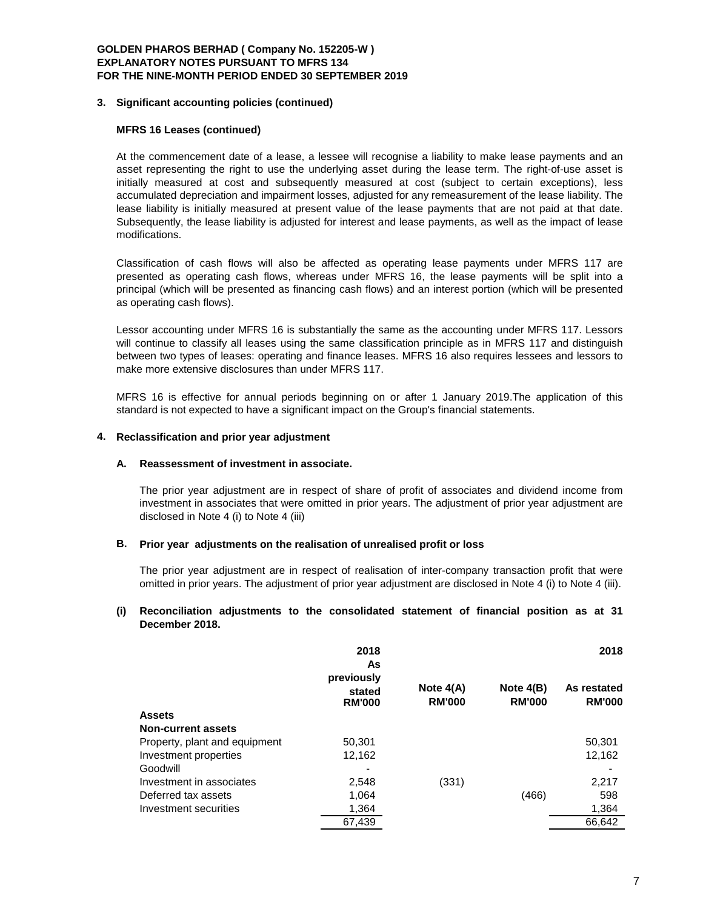### **3. Significant accounting policies (continued)**

# **MFRS 16 Leases (continued)**

At the commencement date of a lease, a lessee will recognise a liability to make lease payments and an asset representing the right to use the underlying asset during the lease term. The right-of-use asset is initially measured at cost and subsequently measured at cost (subject to certain exceptions), less accumulated depreciation and impairment losses, adjusted for any remeasurement of the lease liability. The lease liability is initially measured at present value of the lease payments that are not paid at that date. Subsequently, the lease liability is adjusted for interest and lease payments, as well as the impact of lease modifications.

Classification of cash flows will also be affected as operating lease payments under MFRS 117 are presented as operating cash flows, whereas under MFRS 16, the lease payments will be split into a principal (which will be presented as financing cash flows) and an interest portion (which will be presented as operating cash flows).

Lessor accounting under MFRS 16 is substantially the same as the accounting under MFRS 117. Lessors will continue to classify all leases using the same classification principle as in MFRS 117 and distinguish between two types of leases: operating and finance leases. MFRS 16 also requires lessees and lessors to make more extensive disclosures than under MFRS 117.

MFRS 16 is effective for annual periods beginning on or after 1 January 2019.The application of this standard is not expected to have a significant impact on the Group's financial statements.

### **4. Reclassification and prior year adjustment**

#### **A. Reassessment of investment in associate.**

The prior year adjustment are in respect of share of profit of associates and dividend income from investment in associates that were omitted in prior years. The adjustment of prior year adjustment are disclosed in Note 4 (i) to Note 4 (iii)

#### **B. Prior year adjustments on the realisation of unrealised profit or loss**

The prior year adjustment are in respect of realisation of inter-company transaction profit that were omitted in prior years. The adjustment of prior year adjustment are disclosed in Note 4 (i) to Note 4 (iii).

# **(i) Reconciliation adjustments to the consolidated statement of financial position as at 31 December 2018.**

|                               | 2018<br>As                            |                              |                              | 2018                         |  |
|-------------------------------|---------------------------------------|------------------------------|------------------------------|------------------------------|--|
|                               | previously<br>stated<br><b>RM'000</b> | Note $4(A)$<br><b>RM'000</b> | Note $4(B)$<br><b>RM'000</b> | As restated<br><b>RM'000</b> |  |
| <b>Assets</b>                 |                                       |                              |                              |                              |  |
| <b>Non-current assets</b>     |                                       |                              |                              |                              |  |
| Property, plant and equipment | 50,301                                |                              |                              | 50,301                       |  |
| Investment properties         | 12,162                                |                              |                              | 12,162                       |  |
| Goodwill                      |                                       |                              |                              |                              |  |
| Investment in associates      | 2,548                                 | (331)                        |                              | 2,217                        |  |
| Deferred tax assets           | 1.064                                 |                              | (466)                        | 598                          |  |
| Investment securities         | 1,364                                 |                              |                              | 1,364                        |  |
|                               | 67,439                                |                              |                              | 66,642                       |  |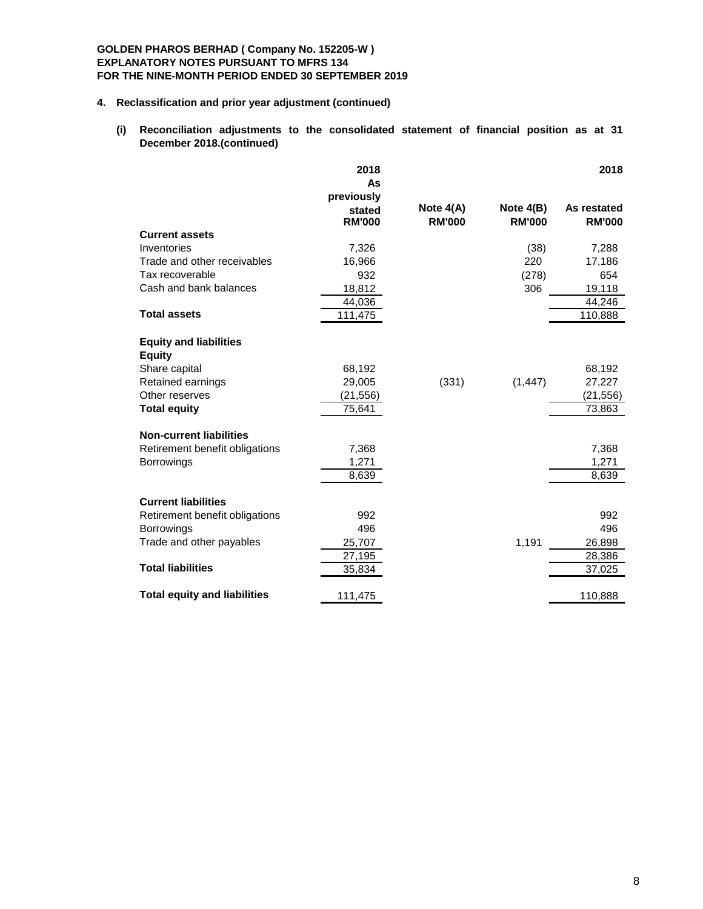# **4. Reclassification and prior year adjustment (continued)**

**(i) Reconciliation adjustments to the consolidated statement of financial position as at 31 December 2018.(continued)** 

|                                                | 2018<br>As<br>previously |                              |                              | 2018                         |
|------------------------------------------------|--------------------------|------------------------------|------------------------------|------------------------------|
|                                                | stated<br><b>RM'000</b>  | Note $4(A)$<br><b>RM'000</b> | Note $4(B)$<br><b>RM'000</b> | As restated<br><b>RM'000</b> |
| <b>Current assets</b>                          |                          |                              |                              |                              |
| Inventories                                    | 7,326                    |                              | (38)                         | 7,288                        |
| Trade and other receivables                    | 16,966                   |                              | 220                          | 17,186                       |
| Tax recoverable                                | 932                      |                              | (278)                        | 654                          |
| Cash and bank balances                         | 18,812                   |                              | 306                          | 19,118                       |
|                                                | 44,036                   |                              |                              | 44,246                       |
| <b>Total assets</b>                            | 111,475                  |                              |                              | 110,888                      |
| <b>Equity and liabilities</b><br><b>Equity</b> |                          |                              |                              |                              |
| Share capital                                  | 68,192                   |                              |                              | 68,192                       |
| Retained earnings                              | 29,005                   | (331)                        | (1, 447)                     | 27,227                       |
| Other reserves                                 | (21, 556)                |                              |                              | (21, 556)                    |
| <b>Total equity</b>                            | 75,641                   |                              |                              | 73,863                       |
| <b>Non-current liabilities</b>                 |                          |                              |                              |                              |
| Retirement benefit obligations                 | 7,368                    |                              |                              | 7,368                        |
| Borrowings                                     | 1,271                    |                              |                              | 1,271                        |
|                                                | 8,639                    |                              |                              | 8,639                        |
| <b>Current liabilities</b>                     |                          |                              |                              |                              |
| Retirement benefit obligations                 | 992                      |                              |                              | 992                          |
| <b>Borrowings</b>                              | 496                      |                              |                              | 496                          |
| Trade and other payables                       | 25,707                   |                              | 1,191                        | 26,898                       |
|                                                | 27,195                   |                              |                              | 28,386                       |
| <b>Total liabilities</b>                       | 35,834                   |                              |                              | 37,025                       |
| <b>Total equity and liabilities</b>            | 111,475                  |                              |                              | 110,888                      |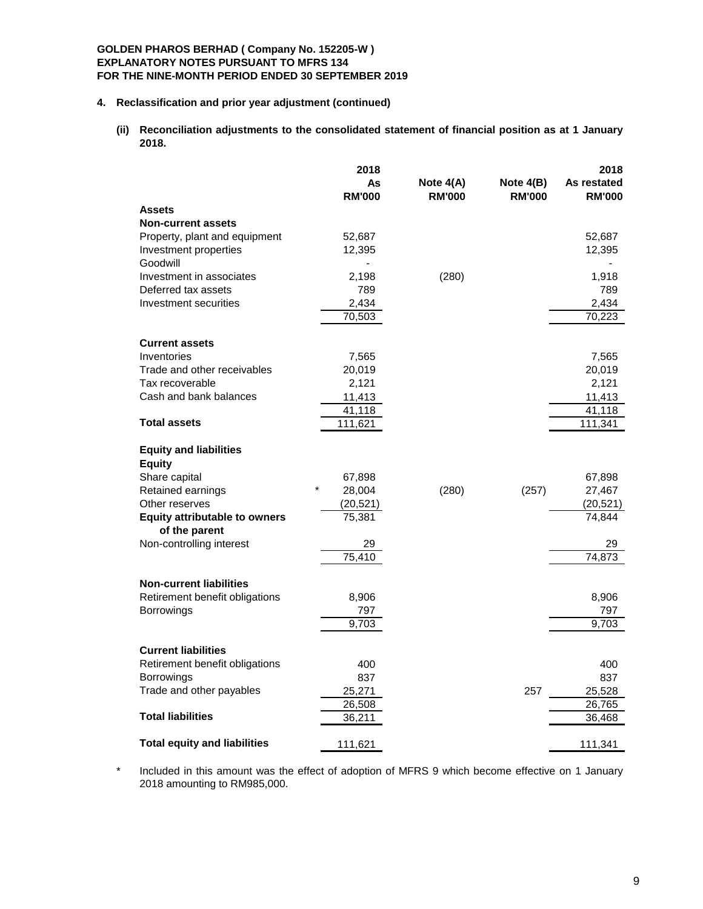#### **4. Reclassification and prior year adjustment (continued)**

**(ii) Reconciliation adjustments to the consolidated statement of financial position as at 1 January 2018.**

|                                                                  | 2018              |               |               | 2018          |
|------------------------------------------------------------------|-------------------|---------------|---------------|---------------|
|                                                                  | As                | Note $4(A)$   | Note $4(B)$   | As restated   |
|                                                                  | <b>RM'000</b>     | <b>RM'000</b> | <b>RM'000</b> | <b>RM'000</b> |
| <b>Assets</b><br><b>Non-current assets</b>                       |                   |               |               |               |
| Property, plant and equipment                                    | 52,687            |               |               | 52,687        |
| Investment properties                                            | 12,395            |               |               | 12,395        |
| Goodwill                                                         |                   |               |               |               |
| Investment in associates                                         | 2,198             | (280)         |               | 1,918         |
| Deferred tax assets                                              | 789               |               |               | 789           |
| Investment securities                                            | 2,434             |               |               | 2,434         |
|                                                                  | 70,503            |               |               | 70,223        |
|                                                                  |                   |               |               |               |
| <b>Current assets</b>                                            |                   |               |               |               |
| Inventories                                                      | 7,565             |               |               | 7,565         |
| Trade and other receivables                                      | 20,019            |               |               | 20,019        |
| Tax recoverable                                                  | 2,121             |               |               | 2,121         |
| Cash and bank balances                                           | 11,413            |               |               | 11,413        |
| <b>Total assets</b>                                              | 41,118            |               |               | 41,118        |
|                                                                  | 111,621           |               |               | 111,341       |
| <b>Equity and liabilities</b>                                    |                   |               |               |               |
| <b>Equity</b>                                                    |                   |               |               |               |
| Share capital                                                    | 67,898            |               |               | 67,898        |
| Retained earnings                                                | $\star$<br>28,004 | (280)         | (257)         | 27,467        |
| Other reserves                                                   | (20, 521)         |               |               | (20, 521)     |
| <b>Equity attributable to owners</b>                             | 75,381            |               |               | 74,844        |
| of the parent                                                    |                   |               |               |               |
| Non-controlling interest                                         | 29                |               |               | 29            |
|                                                                  | 75,410            |               |               | 74,873        |
|                                                                  |                   |               |               |               |
| <b>Non-current liabilities</b><br>Retirement benefit obligations | 8,906             |               |               | 8,906         |
|                                                                  | 797               |               |               | 797           |
| Borrowings                                                       | 9,703             |               |               | 9,703         |
|                                                                  |                   |               |               |               |
| <b>Current liabilities</b>                                       |                   |               |               |               |
| Retirement benefit obligations                                   | 400               |               |               | 400           |
| <b>Borrowings</b>                                                | 837               |               |               | 837           |
| Trade and other payables                                         | 25,271            |               | 257           | 25,528        |
|                                                                  | 26,508            |               |               | 26,765        |
| <b>Total liabilities</b>                                         | 36,211            |               |               | 36,468        |
| <b>Total equity and liabilities</b>                              |                   |               |               |               |
|                                                                  | 111,621           |               |               | 111,341       |

\* Included in this amount was the effect of adoption of MFRS 9 which become effective on 1 January 2018 amounting to RM985,000.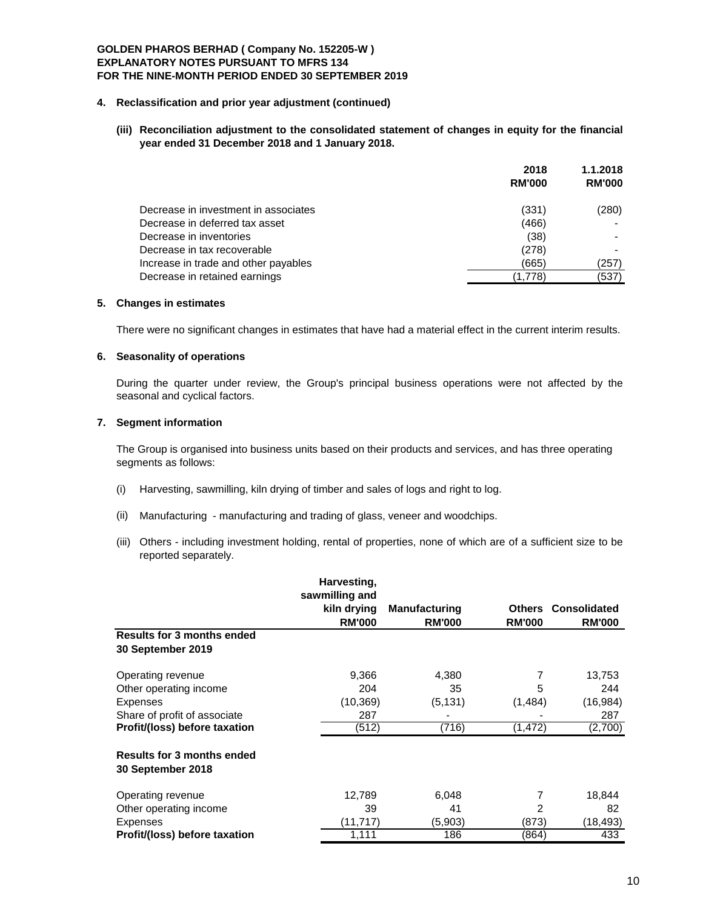#### **4. Reclassification and prior year adjustment (continued)**

**(iii) Reconciliation adjustment to the consolidated statement of changes in equity for the financial year ended 31 December 2018 and 1 January 2018.**

|                                      | 2018          | 1.1.2018      |  |
|--------------------------------------|---------------|---------------|--|
|                                      | <b>RM'000</b> | <b>RM'000</b> |  |
| Decrease in investment in associates | (331)         | (280)         |  |
| Decrease in deferred tax asset       | (466)         |               |  |
| Decrease in inventories              | (38)          |               |  |
| Decrease in tax recoverable          | (278)         |               |  |
| Increase in trade and other payables | (665)         | (257)         |  |
| Decrease in retained earnings        | (1.778)       | (537)         |  |

# **5. Changes in estimates**

There were no significant changes in estimates that have had a material effect in the current interim results.

### **6. Seasonality of operations**

During the quarter under review, the Group's principal business operations were not affected by the seasonal and cyclical factors.

### **7. Segment information**

The Group is organised into business units based on their products and services, and has three operating segments as follows:

- (i) Harvesting, sawmilling, kiln drying of timber and sales of logs and right to log.
- (ii) Manufacturing manufacturing and trading of glass, veneer and woodchips.
- (iii) Others including investment holding, rental of properties, none of which are of a sufficient size to be reported separately.

|                                                        | Harvesting,<br>sawmilling and |                      |               |                     |
|--------------------------------------------------------|-------------------------------|----------------------|---------------|---------------------|
|                                                        | kiln drying                   | <b>Manufacturing</b> | Others        | <b>Consolidated</b> |
| <b>Results for 3 months ended</b>                      | <b>RM'000</b>                 | <b>RM'000</b>        | <b>RM'000</b> | <b>RM'000</b>       |
| 30 September 2019                                      |                               |                      |               |                     |
| Operating revenue                                      | 9,366                         | 4,380                | 7             | 13,753              |
| Other operating income                                 | 204                           | 35                   | 5             | 244                 |
| <b>Expenses</b>                                        | (10, 369)                     | (5, 131)             | (1,484)       | (16, 984)           |
| Share of profit of associate                           | 287                           |                      |               | 287                 |
| Profit/(loss) before taxation                          | (512)                         | (716)                | (1, 472)      | (2,700)             |
| <b>Results for 3 months ended</b><br>30 September 2018 |                               |                      |               |                     |
| Operating revenue                                      | 12,789                        | 6,048                | 7             | 18,844              |
| Other operating income                                 | 39                            | 41                   | 2             | 82                  |
| <b>Expenses</b>                                        | (11,717)                      | (5,903)              | (873)         | (18,493)            |
| Profit/(loss) before taxation                          | 1,111                         | 186                  | (864)         | 433                 |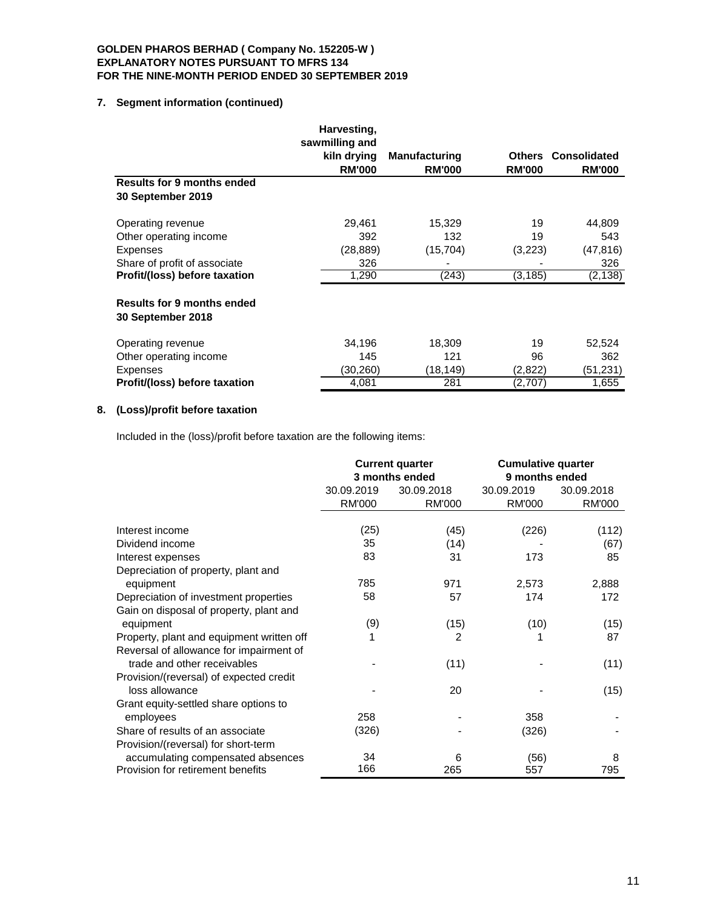# **7. Segment information (continued)**

|                                                        | Harvesting,<br>sawmilling and |                      |               |                     |
|--------------------------------------------------------|-------------------------------|----------------------|---------------|---------------------|
|                                                        | kiln drying                   | <b>Manufacturing</b> | Others        | <b>Consolidated</b> |
|                                                        | <b>RM'000</b>                 | <b>RM'000</b>        | <b>RM'000</b> | <b>RM'000</b>       |
| <b>Results for 9 months ended</b>                      |                               |                      |               |                     |
| 30 September 2019                                      |                               |                      |               |                     |
| Operating revenue                                      | 29,461                        | 15,329               | 19            | 44,809              |
| Other operating income                                 | 392                           | 132                  | 19            | 543                 |
| <b>Expenses</b>                                        | (28, 889)                     | (15, 704)            | (3,223)       | (47, 816)           |
| Share of profit of associate                           | 326                           |                      |               | 326                 |
| Profit/(loss) before taxation                          | 1,290                         | (243)                | (3, 185)      | (2, 138)            |
| <b>Results for 9 months ended</b><br>30 September 2018 |                               |                      |               |                     |
| Operating revenue                                      | 34,196                        | 18,309               | 19            | 52,524              |
| Other operating income                                 | 145                           | 121                  | 96            | 362                 |
| <b>Expenses</b>                                        | (30,260)                      | (18,149)             | (2,822)       | (51,231)            |
| Profit/(loss) before taxation                          | 4,081                         | 281                  | (2,707)       | 1,655               |

# **8. (Loss)/profit before taxation**

Included in the (loss)/profit before taxation are the following items:

|                                                                        | <b>Current quarter</b><br>3 months ended |               | <b>Cumulative quarter</b><br>9 months ended |               |
|------------------------------------------------------------------------|------------------------------------------|---------------|---------------------------------------------|---------------|
|                                                                        | 30.09.2019                               | 30.09.2018    | 30.09.2019                                  | 30.09.2018    |
|                                                                        | <b>RM'000</b>                            | <b>RM'000</b> | <b>RM'000</b>                               | <b>RM'000</b> |
| Interest income                                                        | (25)                                     | (45)          | (226)                                       | (112)         |
| Dividend income                                                        | 35                                       | (14)          |                                             | (67)          |
| Interest expenses                                                      | 83                                       | 31            | 173                                         | 85            |
| Depreciation of property, plant and                                    |                                          |               |                                             |               |
| equipment                                                              | 785                                      | 971           | 2,573                                       | 2,888         |
| Depreciation of investment properties                                  | 58                                       | 57            | 174                                         | 172           |
| Gain on disposal of property, plant and                                |                                          |               |                                             |               |
| equipment                                                              | (9)                                      | (15)          | (10)                                        | (15)          |
| Property, plant and equipment written off                              |                                          | 2             | 1                                           | 87            |
| Reversal of allowance for impairment of<br>trade and other receivables |                                          | (11)          |                                             | (11)          |
|                                                                        |                                          |               |                                             |               |
| Provision/(reversal) of expected credit<br>loss allowance              |                                          | 20            |                                             | (15)          |
| Grant equity-settled share options to                                  |                                          |               |                                             |               |
| employees                                                              | 258                                      |               | 358                                         |               |
| Share of results of an associate                                       | (326)                                    |               | (326)                                       |               |
| Provision/(reversal) for short-term                                    |                                          |               |                                             |               |
| accumulating compensated absences                                      | 34                                       | 6             | (56)                                        | 8             |
| Provision for retirement benefits                                      | 166                                      | 265           | 557                                         | 795           |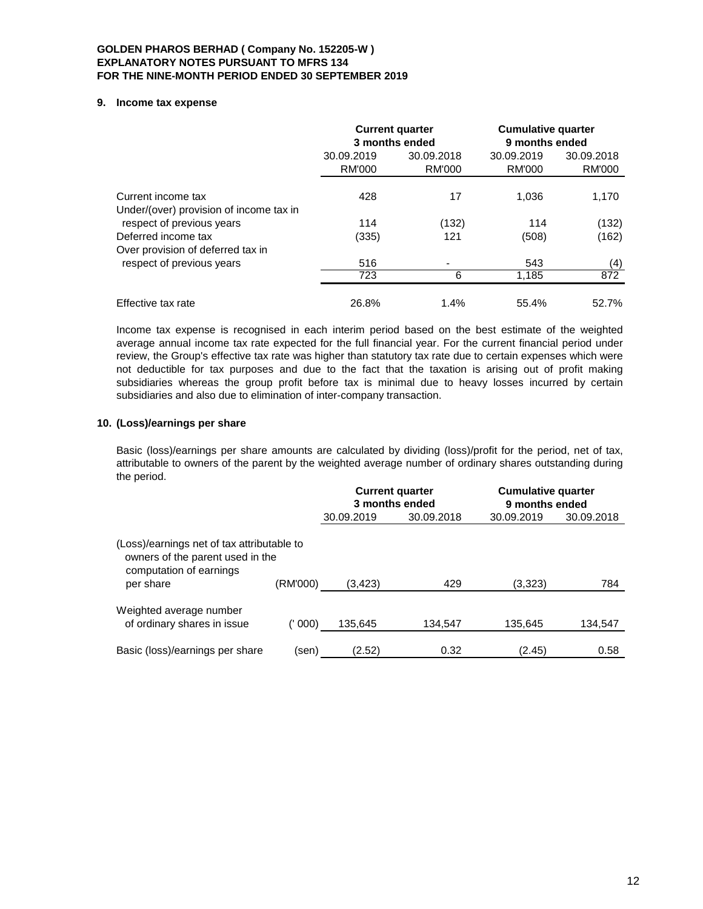### **9. Income tax expense**

|                                                                | <b>Current quarter</b><br>3 months ended |                             | <b>Cumulative quarter</b><br>9 months ended |                      |
|----------------------------------------------------------------|------------------------------------------|-----------------------------|---------------------------------------------|----------------------|
|                                                                | 30.09.2019<br><b>RM'000</b>              | 30.09.2018<br><b>RM'000</b> | 30.09.2019<br>RM'000                        | 30.09.2018<br>RM'000 |
| Current income tax<br>Under/(over) provision of income tax in  | 428                                      | 17                          | 1.036                                       | 1,170                |
| respect of previous years<br>Deferred income tax               | 114<br>(335)                             | (132)<br>121                | 114<br>(508)                                | (132)<br>(162)       |
| Over provision of deferred tax in<br>respect of previous years | 516                                      |                             | 543                                         |                      |
|                                                                | 723                                      | 6                           | 1.185                                       | (4)<br>872           |
| Effective tax rate                                             | 26.8%                                    | 1.4%                        | 55.4%                                       | 52.7%                |

Income tax expense is recognised in each interim period based on the best estimate of the weighted average annual income tax rate expected for the full financial year. For the current financial period under review, the Group's effective tax rate was higher than statutory tax rate due to certain expenses which were not deductible for tax purposes and due to the fact that the taxation is arising out of profit making subsidiaries whereas the group profit before tax is minimal due to heavy losses incurred by certain subsidiaries and also due to elimination of inter-company transaction.

# **10. (Loss)/earnings per share**

Basic (loss)/earnings per share amounts are calculated by dividing (loss)/profit for the period, net of tax, attributable to owners of the parent by the weighted average number of ordinary shares outstanding during the period.

|                                                                                                                        |          | <b>Current quarter</b><br>3 months ended |            | <b>Cumulative quarter</b><br>9 months ended |            |  |
|------------------------------------------------------------------------------------------------------------------------|----------|------------------------------------------|------------|---------------------------------------------|------------|--|
|                                                                                                                        |          | 30.09.2019                               | 30.09.2018 | 30.09.2019                                  | 30.09.2018 |  |
| (Loss)/earnings net of tax attributable to<br>owners of the parent used in the<br>computation of earnings<br>per share | (RM'000) | (3,423)                                  | 429        | (3,323)                                     | 784        |  |
|                                                                                                                        |          |                                          |            |                                             |            |  |
| Weighted average number<br>of ordinary shares in issue                                                                 | (' 000)  | 135.645                                  | 134,547    | 135,645                                     | 134,547    |  |
| Basic (loss)/earnings per share                                                                                        | (sen)    | (2.52)                                   | 0.32       | (2.45)                                      | 0.58       |  |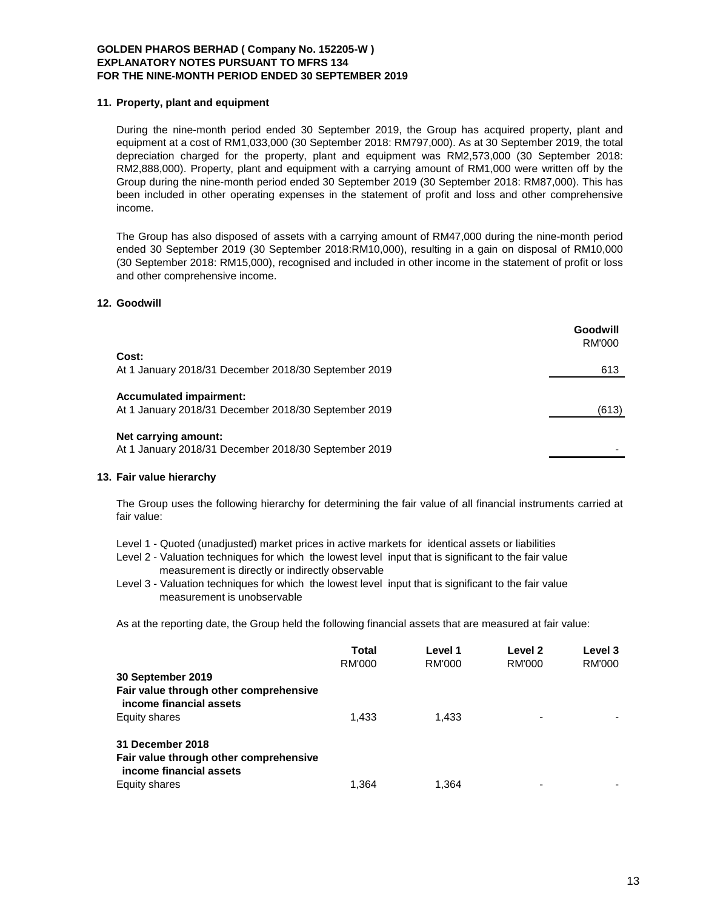### **11. Property, plant and equipment**

During the nine-month period ended 30 September 2019, the Group has acquired property, plant and equipment at a cost of RM1,033,000 (30 September 2018: RM797,000). As at 30 September 2019, the total depreciation charged for the property, plant and equipment was RM2,573,000 (30 September 2018: RM2,888,000). Property, plant and equipment with a carrying amount of RM1,000 were written off by the Group during the nine-month period ended 30 September 2019 (30 September 2018: RM87,000). This has been included in other operating expenses in the statement of profit and loss and other comprehensive income.

The Group has also disposed of assets with a carrying amount of RM47,000 during the nine-month period ended 30 September 2019 (30 September 2018:RM10,000), resulting in a gain on disposal of RM10,000 (30 September 2018: RM15,000), recognised and included in other income in the statement of profit or loss and other comprehensive income.

# **12. Goodwill**

|                                                                                        | Goodwill<br>RM'000 |
|----------------------------------------------------------------------------------------|--------------------|
| Cost:                                                                                  |                    |
| At 1 January 2018/31 December 2018/30 September 2019                                   | 613                |
| <b>Accumulated impairment:</b><br>At 1 January 2018/31 December 2018/30 September 2019 | (613)              |
| Net carrying amount:<br>At 1 January 2018/31 December 2018/30 September 2019           |                    |

### **13. Fair value hierarchy**

The Group uses the following hierarchy for determining the fair value of all financial instruments carried at fair value:

- Level 1 Quoted (unadjusted) market prices in active markets for identical assets or liabilities
- Level 2 Valuation techniques for which the lowest level input that is significant to the fair value measurement is directly or indirectly observable
- Level 3 Valuation techniques for which the lowest level input that is significant to the fair value measurement is unobservable

As at the reporting date, the Group held the following financial assets that are measured at fair value:

|                                                                   | Total  | Level 1 | Level 2       | Level 3 |
|-------------------------------------------------------------------|--------|---------|---------------|---------|
|                                                                   | RM'000 | RM'000  | <b>RM'000</b> | RM'000  |
| 30 September 2019                                                 |        |         |               |         |
| Fair value through other comprehensive<br>income financial assets |        |         |               |         |
| Equity shares                                                     | 1.433  | 1.433   |               |         |
| 31 December 2018<br>Fair value through other comprehensive        |        |         |               |         |
| income financial assets                                           |        |         |               |         |
| Equity shares                                                     | 1.364  | 1.364   |               |         |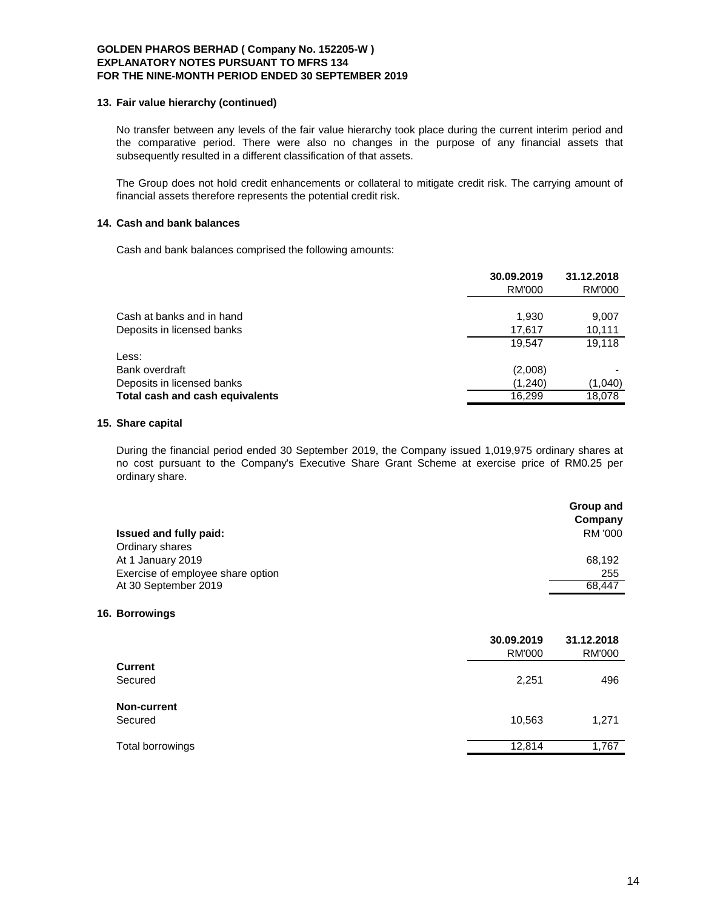#### **13. Fair value hierarchy (continued)**

No transfer between any levels of the fair value hierarchy took place during the current interim period and the comparative period. There were also no changes in the purpose of any financial assets that subsequently resulted in a different classification of that assets.

The Group does not hold credit enhancements or collateral to mitigate credit risk. The carrying amount of financial assets therefore represents the potential credit risk.

# **14. Cash and bank balances**

Cash and bank balances comprised the following amounts:

|                                 | 30.09.2019<br>RM'000 | 31.12.2018<br>RM'000 |
|---------------------------------|----------------------|----------------------|
| Cash at banks and in hand       | 1,930                | 9,007                |
| Deposits in licensed banks      | 17,617               | 10,111               |
|                                 | 19.547               | 19.118               |
| Less:                           |                      |                      |
| Bank overdraft                  | (2,008)              |                      |
| Deposits in licensed banks      | (1,240)              | (1,040)              |
| Total cash and cash equivalents | 16.299               | 18,078               |

### **15. Share capital**

During the financial period ended 30 September 2019, the Company issued 1,019,975 ordinary shares at no cost pursuant to the Company's Executive Share Grant Scheme at exercise price of RM0.25 per ordinary share.

|                                   | Group and<br>Company |
|-----------------------------------|----------------------|
| Issued and fully paid:            | RM '000              |
| Ordinary shares                   |                      |
| At 1 January 2019                 | 68,192               |
| Exercise of employee share option | 255                  |
| At 30 September 2019              | 68.447               |
|                                   |                      |

#### **16. Borrowings**

|                    | 30.09.2019<br><b>RM'000</b> | 31.12.2018<br><b>RM'000</b> |
|--------------------|-----------------------------|-----------------------------|
| <b>Current</b>     |                             |                             |
| Secured            | 2,251                       | 496                         |
| <b>Non-current</b> |                             |                             |
| Secured            | 10,563                      | 1,271                       |
| Total borrowings   | 12,814                      | 1,767                       |
|                    |                             |                             |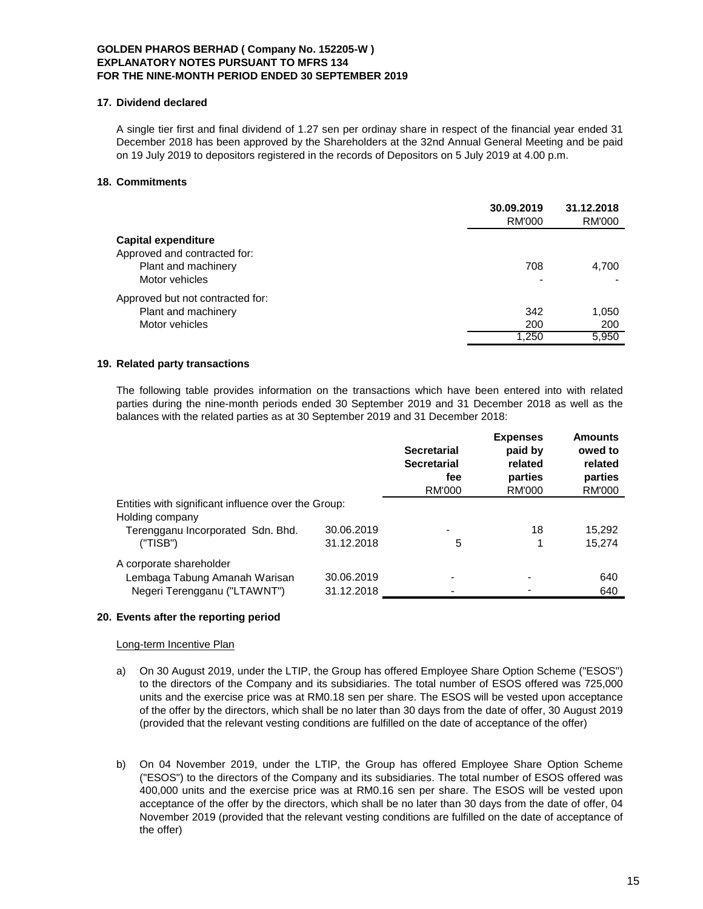# **17. Dividend declared**

A single tier first and final dividend of 1.27 sen per ordinay share in respect of the financial year ended 31 December 2018 has been approved by the Shareholders at the 32nd Annual General Meeting and be paid on 19 July 2019 to depositors registered in the records of Depositors on 5 July 2019 at 4.00 p.m.

# **18. Commitments**

|                                  | 30.09.2019<br>RM'000 | 31.12.2018<br>RM'000 |
|----------------------------------|----------------------|----------------------|
| Capital expenditure              |                      |                      |
| Approved and contracted for:     |                      |                      |
| Plant and machinery              | 708                  | 4,700                |
| Motor vehicles                   |                      |                      |
| Approved but not contracted for: |                      |                      |
| Plant and machinery              | 342                  | 1,050                |
| Motor vehicles                   | 200                  | 200                  |
|                                  | 1,250                | 5,950                |

# **19. Related party transactions**

The following table provides information on the transactions which have been entered into with related parties during the nine-month periods ended 30 September 2019 and 31 December 2018 as well as the balances with the related parties as at 30 September 2019 and 31 December 2018:

|                                                     |            | <b>Secretarial</b><br><b>Secretarial</b><br>fee<br><b>RM'000</b> | <b>Expenses</b><br>paid by<br>related<br>parties<br>RM'000 | <b>Amounts</b><br>owed to<br>related<br>parties<br>RM'000 |
|-----------------------------------------------------|------------|------------------------------------------------------------------|------------------------------------------------------------|-----------------------------------------------------------|
| Entities with significant influence over the Group: |            |                                                                  |                                                            |                                                           |
| Holding company                                     |            |                                                                  |                                                            |                                                           |
| Terengganu Incorporated Sdn. Bhd.                   | 30.06.2019 |                                                                  | 18                                                         | 15,292                                                    |
| ("TISB")                                            | 31.12.2018 | 5                                                                |                                                            | 15.274                                                    |
| A corporate shareholder                             |            |                                                                  |                                                            |                                                           |
| Lembaga Tabung Amanah Warisan                       | 30.06.2019 | -                                                                |                                                            | 640                                                       |
| Negeri Terengganu ("LTAWNT")                        | 31.12.2018 |                                                                  |                                                            | 640                                                       |

#### **20. Events after the reporting period**

Long-term Incentive Plan

- a) On 30 August 2019, under the LTIP, the Group has offered Employee Share Option Scheme ("ESOS") to the directors of the Company and its subsidiaries. The total number of ESOS offered was 725,000 units and the exercise price was at RM0.18 sen per share. The ESOS will be vested upon acceptance of the offer by the directors, which shall be no later than 30 days from the date of offer, 30 August 2019 (provided that the relevant vesting conditions are fulfilled on the date of acceptance of the offer)
- b) On 04 November 2019, under the LTIP, the Group has offered Employee Share Option Scheme ("ESOS") to the directors of the Company and its subsidiaries. The total number of ESOS offered was 400,000 units and the exercise price was at RM0.16 sen per share. The ESOS will be vested upon acceptance of the offer by the directors, which shall be no later than 30 days from the date of offer, 04 November 2019 (provided that the relevant vesting conditions are fulfilled on the date of acceptance of the offer)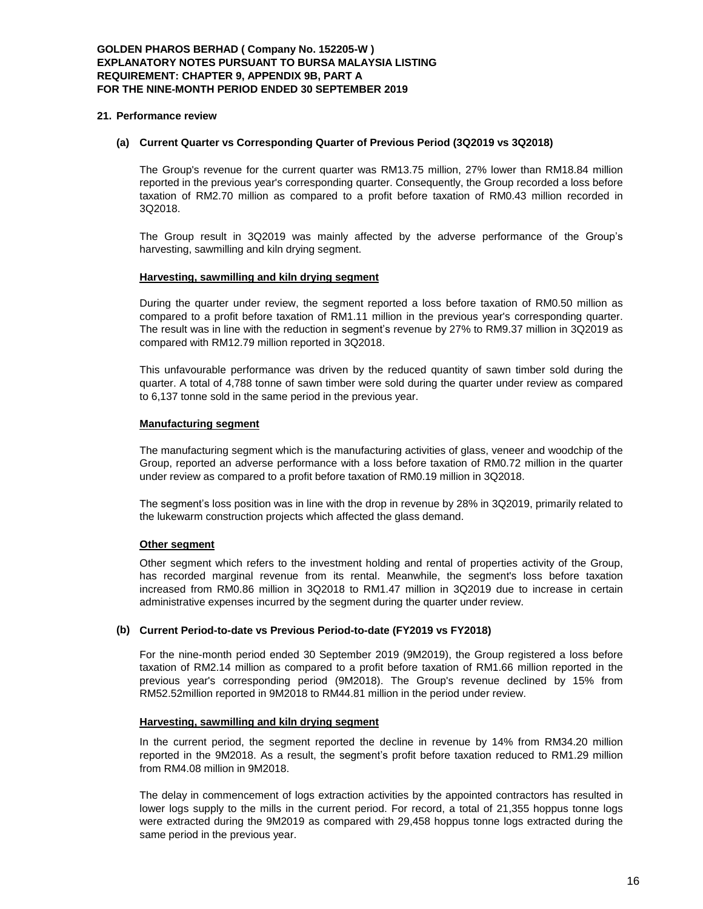### **21. Performance review**

#### **(a) Current Quarter vs Corresponding Quarter of Previous Period (3Q2019 vs 3Q2018)**

The Group's revenue for the current quarter was RM13.75 million, 27% lower than RM18.84 million reported in the previous year's corresponding quarter. Consequently, the Group recorded a loss before taxation of RM2.70 million as compared to a profit before taxation of RM0.43 million recorded in 3Q2018.

The Group result in 3Q2019 was mainly affected by the adverse performance of the Group's harvesting, sawmilling and kiln drying segment.

#### **Harvesting, sawmilling and kiln drying segment**

During the quarter under review, the segment reported a loss before taxation of RM0.50 million as compared to a profit before taxation of RM1.11 million in the previous year's corresponding quarter. The result was in line with the reduction in segment's revenue by 27% to RM9.37 million in 3Q2019 as compared with RM12.79 million reported in 3Q2018.

This unfavourable performance was driven by the reduced quantity of sawn timber sold during the quarter. A total of 4,788 tonne of sawn timber were sold during the quarter under review as compared to 6,137 tonne sold in the same period in the previous year.

#### **Manufacturing segment**

The manufacturing segment which is the manufacturing activities of glass, veneer and woodchip of the Group, reported an adverse performance with a loss before taxation of RM0.72 million in the quarter under review as compared to a profit before taxation of RM0.19 million in 3Q2018.

The segment's loss position was in line with the drop in revenue by 28% in 3Q2019, primarily related to the lukewarm construction projects which affected the glass demand.

# **Other segment**

Other segment which refers to the investment holding and rental of properties activity of the Group, has recorded marginal revenue from its rental. Meanwhile, the segment's loss before taxation increased from RM0.86 million in 3Q2018 to RM1.47 million in 3Q2019 due to increase in certain administrative expenses incurred by the segment during the quarter under review.

#### **(b) Current Period-to-date vs Previous Period-to-date (FY2019 vs FY2018)**

For the nine-month period ended 30 September 2019 (9M2019), the Group registered a loss before taxation of RM2.14 million as compared to a profit before taxation of RM1.66 million reported in the previous year's corresponding period (9M2018). The Group's revenue declined by 15% from RM52.52million reported in 9M2018 to RM44.81 million in the period under review.

#### **Harvesting, sawmilling and kiln drying segment**

In the current period, the segment reported the decline in revenue by 14% from RM34.20 million reported in the 9M2018. As a result, the segment's profit before taxation reduced to RM1.29 million from RM4.08 million in 9M2018.

The delay in commencement of logs extraction activities by the appointed contractors has resulted in lower logs supply to the mills in the current period. For record, a total of 21,355 hoppus tonne logs were extracted during the 9M2019 as compared with 29,458 hoppus tonne logs extracted during the same period in the previous year.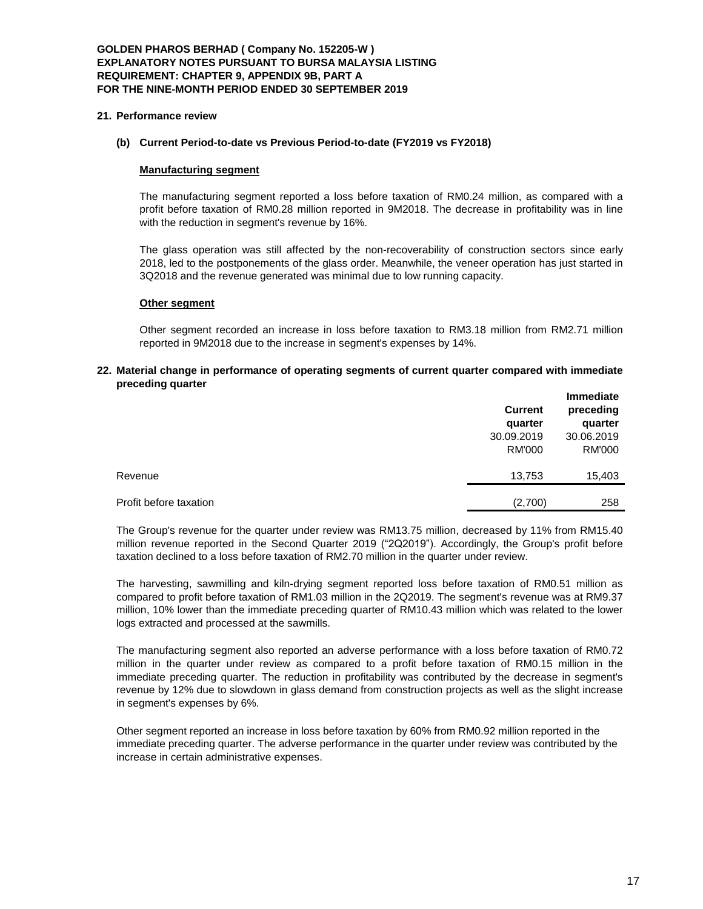# **GOLDEN PHAROS BERHAD ( Company No. 152205-W ) EXPLANATORY NOTES PURSUANT TO BURSA MALAYSIA LISTING REQUIREMENT: CHAPTER 9, APPENDIX 9B, PART A FOR THE NINE-MONTH PERIOD ENDED 30 SEPTEMBER 2019**

### **21. Performance review**

# **(b) Current Period-to-date vs Previous Period-to-date (FY2019 vs FY2018)**

# **Manufacturing segment**

The manufacturing segment reported a loss before taxation of RM0.24 million, as compared with a profit before taxation of RM0.28 million reported in 9M2018. The decrease in profitability was in line with the reduction in segment's revenue by 16%.

The glass operation was still affected by the non-recoverability of construction sectors since early 2018, led to the postponements of the glass order. Meanwhile, the veneer operation has just started in 3Q2018 and the revenue generated was minimal due to low running capacity.

### **Other segment**

Other segment recorded an increase in loss before taxation to RM3.18 million from RM2.71 million reported in 9M2018 due to the increase in segment's expenses by 14%.

#### **22. Material change in performance of operating segments of current quarter compared with immediate preceding quarter**

|                        | <b>Current</b><br>quarter | <b>Immediate</b><br>preceding<br>quarter |
|------------------------|---------------------------|------------------------------------------|
|                        | 30.09.2019                | 30.06.2019                               |
|                        | <b>RM'000</b>             | <b>RM'000</b>                            |
| Revenue                | 13,753                    | 15,403                                   |
| Profit before taxation | (2,700)                   | 258                                      |

The Group's revenue for the quarter under review was RM13.75 million, decreased by 11% from RM15.40 million revenue reported in the Second Quarter 2019 ("2Q2019"). Accordingly, the Group's profit before taxation declined to a loss before taxation of RM2.70 million in the quarter under review.

The harvesting, sawmilling and kiln-drying segment reported loss before taxation of RM0.51 million as compared to profit before taxation of RM1.03 million in the 2Q2019. The segment's revenue was at RM9.37 million, 10% lower than the immediate preceding quarter of RM10.43 million which was related to the lower logs extracted and processed at the sawmills.

The manufacturing segment also reported an adverse performance with a loss before taxation of RM0.72 million in the quarter under review as compared to a profit before taxation of RM0.15 million in the immediate preceding quarter. The reduction in profitability was contributed by the decrease in segment's revenue by 12% due to slowdown in glass demand from construction projects as well as the slight increase in segment's expenses by 6%.

Other segment reported an increase in loss before taxation by 60% from RM0.92 million reported in the immediate preceding quarter. The adverse performance in the quarter under review was contributed by the increase in certain administrative expenses.